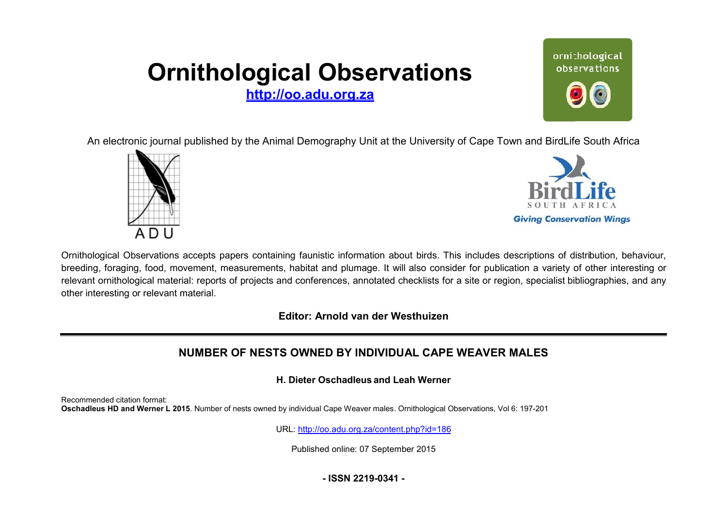# **Ornithological Observations**

**<http://oo.adu.org.za>**



An electronic journal published by the Animal Demography Unit at the University of Cape Town and BirdLife South Africa





Ornithological Observations accepts papers containing faunistic information about birds. This includes descriptions of distribution, behaviour, breeding, foraging, food, movement, measurements, habitat and plumage. It will also consider for publication a variety of other interesting or relevant ornithological material: reports of projects and conferences, annotated checklists for a site or region, specialist bibliographies, and any other interesting or relevant material.

**Editor: Arnold van der Westhuizen itor:**

# **NUMBER OF NESTS OWNE OWNED BY INDIVIDUAL CAPE WEAVER MALES**

**H. Dieter Oschadleus and Leah Werner**

Recommended citation format: **Oschadleus HD and Werner L 2015**. Number of nests owned by individual Cape Weaver males males. Ornithological Observations, Vol 6: 197-201

URL: <http://oo.adu.org.za/content.php?id=186>

Published online: 07 September 2015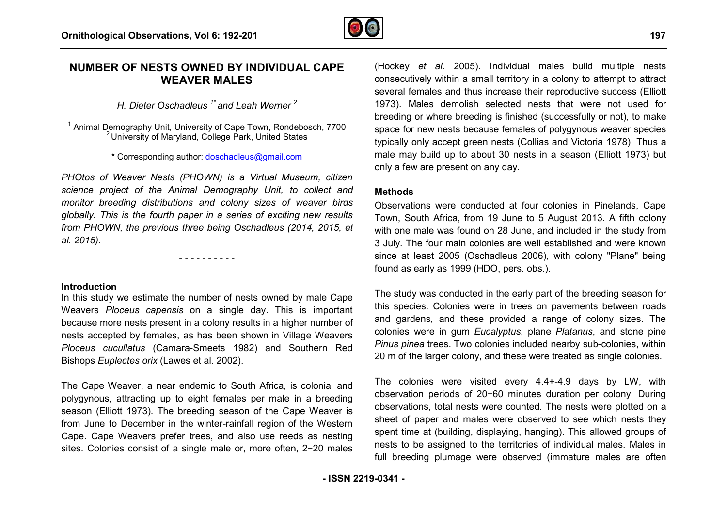

# **NUMBER OF NESTS OWNED BY INDIVIDUAL CAPE D WEAVER MALES**

*H. Dieter Oschadleus 1\* and Leah Werner <sup>2</sup>*

<sup>1</sup> Animal Demography Unit, University of Cape Town, Rondebosch, 7700 <sup>2</sup> University of Maryland, College Park, United States

\* Corresponding author: [doschadleus@gmail.com](mailto:doschadleus@gmail.com)

*PHOtos of Weaver Nests (PHOWN) is a Virtual Museum, citizen science project of the Animal Demography Unit, to collect and monitor breeding distributions and colony sizes of weaver birds globally. This is the fourth paper in a series of exciting nnew results from PHOWN, the previous three being Oschadleus (2014, 2015, et ,al. 2015).* 

- - - - - - - - - -

**Introduction**

In this study we estimate the number of nests owned by male Cape Weavers *Ploceus capensis* on a single day. This is important because more nests present in a colony results in a higher number of nests accepted by females, as has been shown in Village Weavers Ploceus cucullatus (Camara-Smeets 1982) and Southern Red Bishops *Euplectes orix* (Lawes et al. 2002).

The Cape Weaver, a near endemic to South Africa, is colonial and polygynous, attracting up to eight females per male in a breeding season (Elliott 1973). The breeding season of the Cape Weaver is from June to December in the winter-rainfall region of the Western Cape. Cape Weavers prefer trees, and also use reeds as nesting sites. Colonies consist of a single male or, more often, 2-20 males (Hockey *et al.* 2005). Individual males build multiple nests consecutively within a small territory in a colony to attempt to attract several females and thus increase their reproductive success (Elliott 1973). Males demolish selected nests that were not used for breeding or where breeding is finished (successfully or not), to make space for new nests because females of polygynous weaver species typically only accept green nests (Collias and Victoria 1978). Thus a male may build up to about 30 nests in a season (Elliott 1973) but only a few are present on any day.

#### **Methods**

Observations were conducted at four colonies in Pinelands, Cape Town, South Africa, from 19 June to 5 August 2013. A fifth colony with one male was found on 28 June, and included in the study from 3 July. The four main colonies are well established and were known since at least 2005 (Oschadleus 2006), with colony "Plane" being found as early as 1999 (HDO, pers. obs.). e females of polygynous weaver species<br>nests (Collias and Victoria 1978). Thus a<br>i 30 nests in a season (Elliott 1973) but<br>y day.<br>ed at four colonies in Pinelands, Cape<br>9 June to 5 August 2013. A fifth colony<br>28 June, and

The study was conducted in the early part of the breeding season for this species. Colonies were in trees on pavements between roads and gardens, and these provided a range of colony sizes. The colonies were in gum *Eucalyptus*, plane *Platanus* , and stone pine Pinus pinea trees. Two colonies included nearby sub-colonies, within 20 m of the larger colony, and these were treated as single colonies.

The colonies were visited every 4.4+-4.9 days by LW, with observation periods of 20−60 minutes duration per colony. During observations, total nests were counted. The nests were plotted on a sheet of paper and males were observed to see which nests they spent time at (building, displaying, hanging). This allowed groups of nests to be assigned to the territories of individual males. Males in full breeding plumage were observed (immature males are often rry 4.4+-4.9<br>nutes duration<br>unted. The n<br>observed to<br>, hanging). 1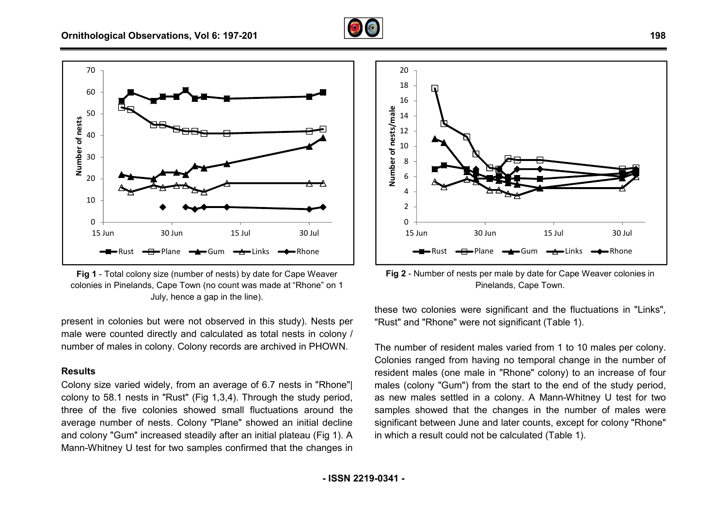





present in colonies but were not observed in this study). Nests per male were counted directly and calculated as total nests in colony / number of males in colony. Colony records are archived in PHOWN.

### **Results**

number of males in colony. Colony records are archived in PHOWN.<br>**Results**<br>Colony size varied widely, from an average of 6.7 nests in "Rhone"| colony to 58.1 nests in "Rust" (Fig 1,3,4). Through the study period, three of the five colonies showed small fluctuations around the average number of nests. Colony "Plane" showed an initial decline and colony "Gum" increased steadily after an initial plateau (Fig 1). A Mann-Whitney U test for two samples confirmed that the changes in



Pinelands, Cape Town. Fig 2 - Number of nests per male by date for Cape Weaver colonies in

these two colonies were significant and the fluctuations in "Links", "Rust" and "Rhone" were not significant (Table 1).

1 - Total colony size (number of nests) by date for Cape Weaver<br>
ines in Pinelands, Cape Town.<br>
Intimediated at "Rhone" on the small end at "Rhone" on the small end at "Rhone" in this study). Nests per these two colonies w The number of resident males varied from 1 to 10 males per colony. Colonies ranged from having no temporal change in the number of resident males (one male in "Rhone" colony) to an increase of four males (colony "Gum") from the start to the end of the study period, as new males settled in a colony. A Mann-Whitney U test for two samples showed that the changes in the number of males were males (colony "Gum") from the start to the end of the study period, as new males settled in a colony. A Mann-Whitney U test for two samples showed that the changes in the number of males were significant between June and l in which a result could not be calculated (Table 1).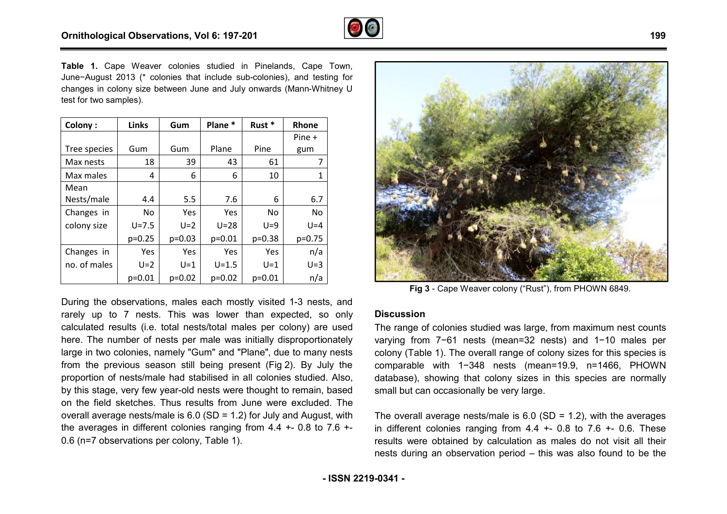

**Table 1.** Cape Weaver colonies studied in Pinelands, Cape Town, June−August 2013 (\* colonies that include sub-colonies), and testing for June-August 2013 (\* colonies that include sub-colonies), and testing for<br>changes in colony size between June and July onwards (Mann-Whitney U test for two samples).

| Colony:      | Links      | Gum      | Plane *    | Rust *    | Rhone    |
|--------------|------------|----------|------------|-----------|----------|
|              |            |          |            |           | Pine +   |
| Tree species | Gum        | Gum      | Plane      | Pine      | gum      |
| Max nests    | 18         | 39       | 43         | 61        | 7        |
| Max males    | 4          | 6        | 6          | 10        | 1        |
| Mean         |            |          |            |           |          |
| Nests/male   | 4.4        | 5.5      | 7.6        | 6         | 6.7      |
| Changes in   | No.        | Yes      | Yes        | <b>No</b> | No       |
| colony size  | $U = 7.5$  | $U=2$    | $U=28$     | $U=9$     | $U = 4$  |
|              | $p=0.25$   | $p=0.03$ | $p=0.01$   | $p=0.38$  | $p=0.75$ |
| Changes in   | <b>Yes</b> | Yes      | <b>Yes</b> | Yes       | n/a      |
| no. of males | $U=2$      | $U=1$    | $U = 1.5$  | $U=1$     | $U=3$    |
|              | $p=0.01$   | $p=0.02$ | $p=0.02$   | $p=0.01$  | n/a      |

During the observations, males each mostly visited 1-3 nests, and rarely up to 7 nests. This was lower than expected, so only calculated results (i.e. total nests/total males per colony) are used here. The number of nests per male was initially disproportionately large in two colonies, namely "Gum" and "Plane", due to many nests from the previous season still being present (Fig 2). By July the proportion of nests/male had stabilised in all colonies studied. Also, by this stage, very few year-old nests were thought to remain, based on the field sketches. Thus results from June were excluded. The overall average nests/male is 6.0 (SD = 1.2) for July and August, with the averages in different colonies ranging from  $4.4 + 0.8$  to  $7.6 + -$ 0.6 (n=7 observations per colony, Table 1). %, due to many nests<br>Fig 2). By July the<br>onies studied. Also,<br>tht to remain, based<br>were excluded. The<br>uly and August, with<br>4.4 +- 0.8 to 7.6 +-



**Fig 3** - Cape Weaver colony ("Rust"), from PHOWN 6849.

## **Discussion**

The range of colonies studied was large, from maximum nest counts varying from 7−61 nests (mean=32 nests) and 1−10 males per colony (Table 1). The overall range of colony sizes for this species is comparable with 1−348 nests (mean=19.9, n=1466, PHOWN database), showing that colony sizes in this species are normally small but can occasionally be very large. colony (Table 1). The overall range of colony sizes for this species is<br>comparable with  $1-348$  nests (mean=19.9, n=1466, PHOWN<br>database), showing that colony sizes in this species are normally<br>small but can occasionally

in different colonies ranging from  $4.4$  +- 0.8 to  $7.6$  +- 0.6. These results were obtained by calculation as males do not visit all their nests during an observation period – this was also found to be the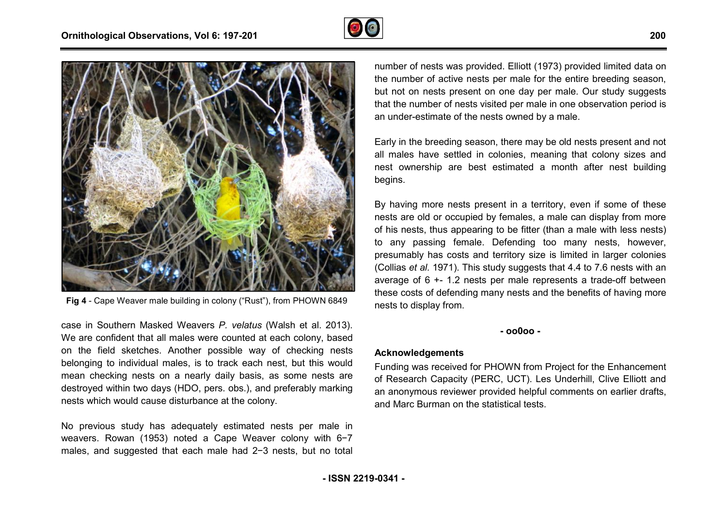



**Fig 4** - Cape Weaver male building in colony ("Rust"), from PHOWN 6849

case in Southern Masked Weavers *P. velatus* (Walsh et al. 2013). We are confident that all males were counted at each colony, based on the field sketches. Another possible way of checking nests belonging to individual males, is to track each nest, but this would mean checking nests on a nearly daily basis, as some nests are destroyed within two days (HDO, pers. obs.), and preferably marking nests which would cause disturbance at the colony.

No previous study has adequately estimated nests per male in weavers. Rowan (1953) noted a Cape Weaver colony with 6-7 males, and suggested that each male had 2−3 nests, but no total

number of nests was provided. Elliott (1973) provided limited data on the number of active nests per male for the entire breeding season, but not on nests present on one day per male. Our study suggests that the number of nests visited per male in one observation period is an under-estimate of the nests owned by a male.

Early in the breeding season, there may be old nests present and not all males have settled in colonies, meaning that colony sizes and nest ownership are best estimated a month after nest building begins.

By having more nests present in a territory, even if some of these nests are old or occupied by females, a male can display from more of his nests, thus appearing to be fitter (than a male with less nests) to any passing female. Defending too many nests, however, presumably has costs and territory size is limited in larger colonies (Collias *et al.* 1971). This study suggests that 4.4 to 7.6 nests with an average of  $6 + 1.2$  nests per male represents a trade-off between these costs of defending many nests and the benefits of having more nests to display from. er of active nests per male for the entire breeding season,<br>n nests present on one day per male. Our study suggests<br>umber of nests visited per male in one observation period is<br>estimate of the nests owned by a male.<br>ne bre

#### **- oo0oo -**

### **Acknowledgements**

Funding was received for PHOWN from Project for the Enhancement of Research Capacity (PERC, UCT). Les Underhill, Clive Elliott and an anonymous reviewer provided helpful comments on earlier drafts, and Marc Burman on the statistical tests.